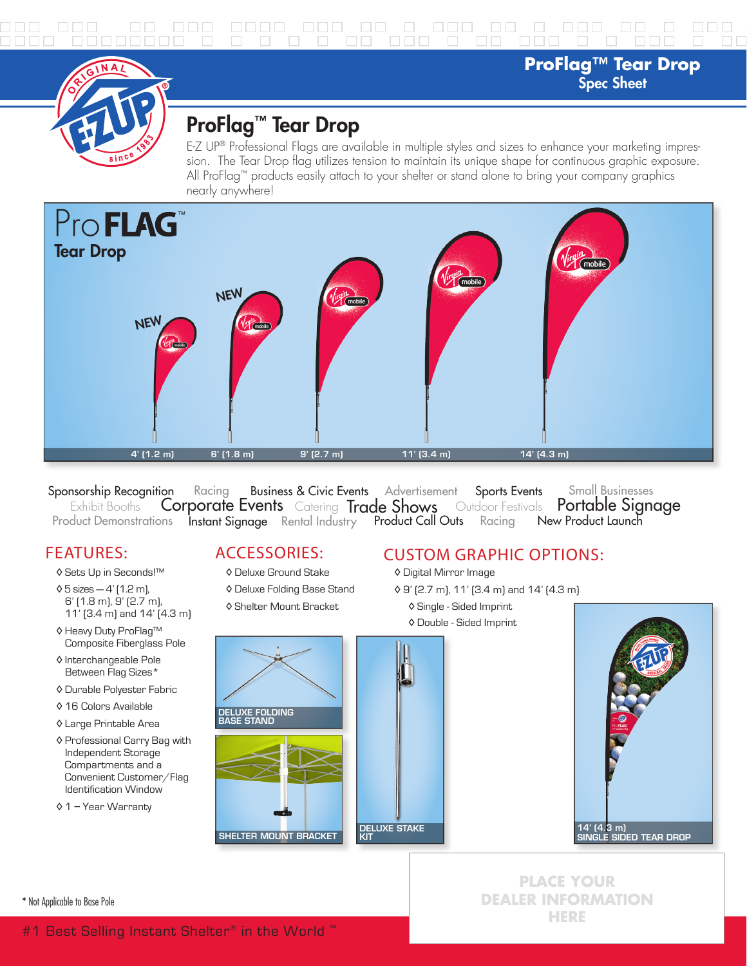**ProFlag™ Tear Drop** Spec Sheet



## ProFlag™ Tear Drop

E-Z UP® Professional Flags are available in multiple styles and sizes to enhance your marketing impression. The Tear Drop flag utilizes tension to maintain its unique shape for continuous graphic exposure. All ProFlag™ products easily attach to your shelter or stand alone to bring your company graphics nearly anywhere!



Sponsorship Recognition Racing Business & Civic Events Advertisement Sports Events<br>Exhibit Booths **Corporate Events** Catering **Trade Shows** Outdoor Festivals Product Demonstrations **Instant Signage** Rental Industry **Product Call Outs** Racing Portable Signage New Product Launch Racing Business & Civic Events Advertisement Sports Events Small Businesses

## FEATURES:

- ◊ Sets Up in Seconds!™
- ◊ 5 sizes 4' (1.2 m), 6' (1.8 m), 9' (2.7 m), 11' (3.4 m) and 14' (4.3 m)
- ◊ Heavy Duty ProFlag™ Composite Fiberglass Pole
- ◊ Interchangeable Pole Between Flag Sizes\*
- ◊ Durable Polyester Fabric
- ◊ 16 Colors Available
- ◊ Large Printable Area
- ◊ Professional Carry Bag with Independent Storage Compartments and a Convenient Customer/Flag Identification Window
- ◊ 1 Year Warranty

ACCESSORIES:

- ◊ Deluxe Ground Stake
- ◊ Deluxe Folding Base Stand
- ◊ Shelter Mount Bracket

# DELUXE FOLDING BASE STAND DELUXE STAKE SHELTER MOUNT BRACKET

## CUSTOM GRAPHIC OPTIONS:

- ◊ Digital Mirror Image
- ◊ 9' (2.7 m), 11' (3.4 m) and 14' (4.3 m)
	- ◊ Single Sided Imprint
	- ◊ Double Sided Imprint



**PLACE YOUR DEALER INFORMATION HERE**